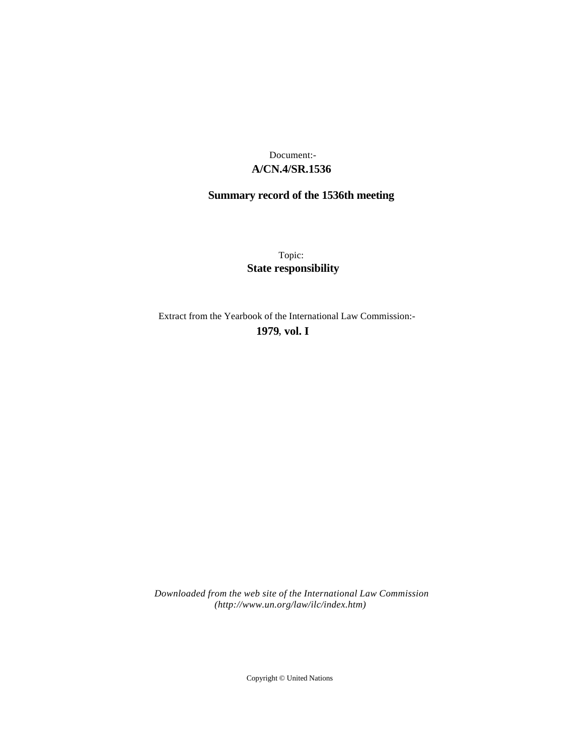# **A/CN.4/SR.1536** Document:-

# **Summary record of the 1536th meeting**

Topic: **State responsibility**

Extract from the Yearbook of the International Law Commission:-

**1979** , **vol. I**

*Downloaded from the web site of the International Law Commission (http://www.un.org/law/ilc/index.htm)*

Copyright © United Nations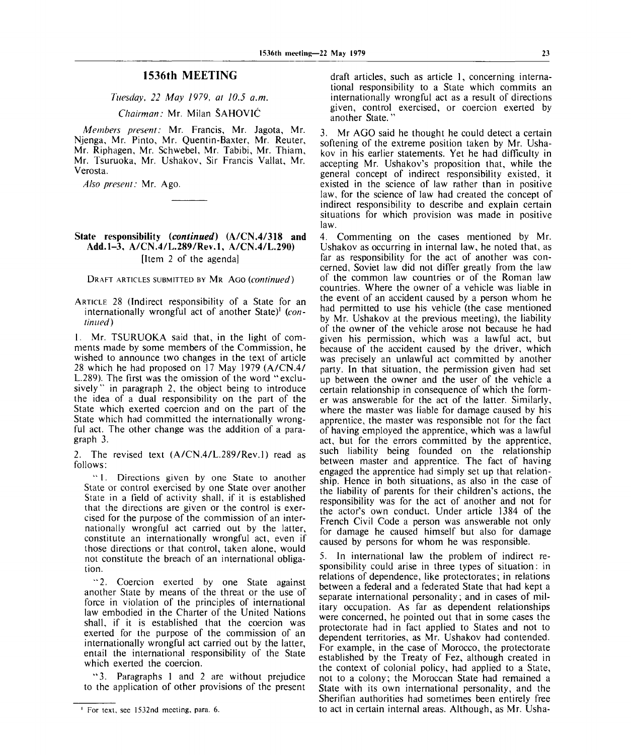# **1536th MEETING**

*Tuesday, 22 May 1979, at 10.5 a.m.*

*Chairman:* Mr. Milan SAHOVIC

*Members present:* Mr. Francis, Mr. Jagota, Mr. Njenga, Mr. Pinto, Mr. Quentin-Baxter, Mr. Reuter, Mr. Riphagen, Mr. Schwebel, Mr. Tabibi, Mr. Thiam, Mr. Tsuruoka, Mr. Ushakov, Sir Francis Vallat, Mr. Verosta.

*Also present:* Mr. Ago.

#### **State responsibility** *{continued)* **(A/CN.4/318 and Add. 1-3, A/CN.4/L.289/Rev.l, A/CN.4/L.290)** [Item 2 of the agenda]

DRAFT ARTICLES SUBMITTED BY MR AGO *{continued)*

ARTICLE 28 (Indirect responsibility of a State for an internationally wrongful act of another State)<sup>1</sup> (con*tinued )*

1. Mr. TSURUOKA said that, in the light of comments made by some members of the Commission, he wished to announce two changes in the text of article 28 which he had proposed on 17 May 1979 (A/CN.4/ L.289). The first was the omission of the word "exclusively" in paragraph 2, the object being to introduce the idea of a dual responsibility on the part of the State which exerted coercion and on the part of the State which had committed the internationally wrongful act. The other change was the addition of a paragraph 3.

2. The revised text (A/CN.4/L.289/Rev.l) read as follows:

" 1. Directions given by one State to another State or control exercised by one State over another State in a field of activity shall, if it is established that the directions are given or the control is exercised for the purpose of the commission of an internationally wrongful act carried out by the latter, constitute an internationally wrongful act, even if those directions or that control, taken alone, would not constitute the breach of an international obligation.

"2. Coercion exerted by one State against another State by means of the threat or the use of force in violation of the principles of international law embodied in the Charter of the United Nations shall, if it is established that the coercion was exerted for the purpose of the commission of an internationally wrongful act carried out by the latter, entail the international responsibility of the State which exerted the coercion.

" 3. Paragraphs 1 and 2 are without prejudice to the application of other provisions of the present

draft articles, such as article 1, concerning international responsibility to a State which commits an internationally wrongful act as a result of directions given, control exercised, or coercion exerted by another State."

3. Mr AGO said he thought he could detect a certain softening of the extreme position taken by Mr. Ushakov in his earlier statements. Yet he had difficulty in accepting Mr. Ushakov's proposition that, while the general concept of indirect responsibility existed, it existed in the science of law rather than in positive law, for the science of law had created the concept of indirect responsibility to describe and explain certain situations for which provision was made in positive law.

4. Commenting on the cases mentioned by Mr. Ushakov as occurring in internal law, he noted that, as far as responsibility for the act of another was concerned, Soviet law did not differ greatly from the law of the common law countries or of the Roman law countries. Where the owner of a vehicle was liable in the event of an accident caused by a person whom he had permitted to use his vehicle (the case mentioned by Mr. Ushakov at the previous meeting), the liability of the owner of the vehicle arose not because he had given his permission, which was a lawful act, but because of the accident caused by the driver, which was precisely an unlawful act committed by another party. In that situation, the permission given had set up between the owner and the user of the vehicle a certain relationship in consequence of which the former was answerable for the act of the latter. Similarly, where the master was liable for damage caused by his apprentice, the master was responsible not for the fact of having employed the apprentice, which was a lawful act, but for the errors committed by the apprentice, such liability being founded on the relationship between master and apprentice. The fact of having engaged the apprentice had simply set up that relationship. Hence in both situations, as also in the case of the liability of parents for their children's actions, the responsibility was for the act of another and not for the actor's own conduct. Under article 1384 of the French Civil Code a person was answerable not only for damage he caused himself but also for damage caused by persons for whom he was responsible.

5. In international law the problem of indirect responsibility could arise in three types of situation: in relations of dependence, like protectorates; in relations between a federal and a federated State that had kept a separate international personality; and in cases of military occupation. As far as dependent relationships were concerned, he pointed out that in some cases the protectorate had in fact applied to States and not to dependent territories, as Mr. Ushakov had contended. For example, in the case of Morocco, the protectorate established by the Treaty of Fez, although created in the context of colonial policy, had applied to a State, not to a colony; the Moroccan State had remained a State with its own international personality, and the Sherifian authorities had sometimes been entirely free to act in certain internal areas. Although, as Mr. Usha-

For text, see 1532nd meeting, para. 6.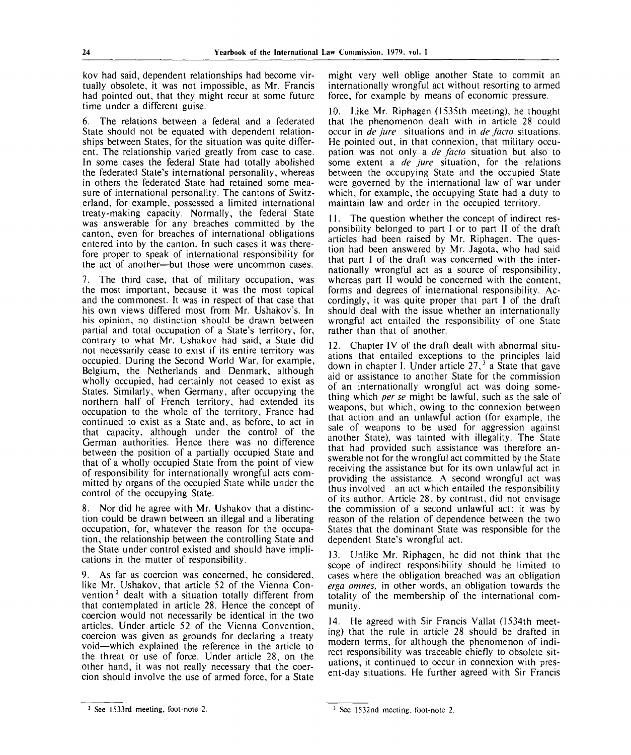kov had said, dependent relationships had become virtually obsolete, it was not impossible, as Mr. Francis had pointed out, that they might recur at some future time under a different guise.

6. The relations between a federal and a federated State should not be equated with dependent relationships between States, for the situation was quite different. The relationship varied greatly from case to case. In some cases the federal State had totally abolished the federated State's international personality, whereas in others the federated State had retained some measure of international personality. The cantons of Switzerland, for example, possessed a limited international treaty-making capacity. Normally, the federal State was answerable for any breaches committed by the canton, even for breaches of international obligations entered into by the canton. In such cases it was therefore proper to speak of international responsibility for the act of another—but those were uncommon cases.

7. The third case, that of military occupation, was the most important, because it was the most topical and the commonest. It was in respect of that case that his own views differed most from Mr. Ushakov's. In his opinion, no distinction should be drawn between partial and total occupation of a State's territory, for, contrary to what Mr. Ushakov had said, a State did not necessarily cease to exist if its entire territory was occupied. During the Second World War, for example, Belgium, the Netherlands and Denmark, although wholly occupied, had certainly not ceased to exist as States. Similarly, when Germany, after occupying the northern half of French territory, had extended its occupation to the whole of the territory, France had continued to exist as a State and, as before, to act in that capacity, although under the control of the German authorities. Hence there was no difference between the position of a partially occupied State and that of a wholly occupied State from the point of view of responsibility for internationally wrongful acts committed by organs of the occupied State while under the control of the occupying State.

8. Nor did he agree with Mr. Ushakov that a distinction could be drawn between an illegal and a liberating occupation, for, whatever the reason for the occupation, the relationship between the controlling State and the State under control existed and should have implications in the matter of responsibility.

9. As far as coercion was concerned, he considered, like Mr. Ushakov, that article 52 of the Vienna Con- $\frac{1}{2}$  dealt with a situation totally different from that contemplated in article 28. Hence the concept of coercion would not necessarily be identical in the two articles. Under article 52 of the Vienna Convention, coercion was given as grounds for declaring a treaty void—which explained the reference in the article to the threat or use of force. Under article 28, on the other hand, it was not really necessary that the coercion should involve the use of armed force, for a State

might very well oblige another State to commit an internationally wrongful act without resorting to armed force, for example by means of economic pressure.

10. Like Mr. Riphagen (1535th meeting), he thought that the phenomenon dealt with in article 28 could occur in *de jure* situations and in *de facto* situations. He pointed out, in that connexion, that military occupation was not only a *de facto* situation but also to some extent a *de jure* situation, for the relations between the occupying State and the occupied State were governed by the international law of war under which, for example, the occupying State had a duty to maintain law and order in the occupied territory.

11. The question whether the concept of indirect responsibility belonged to part I or to part II of the draft articles had been raised by Mr. Riphagen. The question had been answered by Mr. Jagota, who had said that part I of the draft was concerned with the internationally wrongful act as a source of responsibility, whereas part II would be concerned with the content, forms and degrees of international responsibility. Accordingly, it was quite proper that part I of the draft should deal with the issue whether an internationally wrongful act entailed the responsibility of one State rather than that of another.

12. Chapter IV of the draft dealt with abnormal situations that entailed exceptions to the principles laid down in chapter I. Under article  $27<sup>3</sup>$  a State that gave aid or assistance to another State for the commission of an internationally wrongful act was doing something which *per se* might be lawful, such as the sale of weapons, but which, owing to the connexion between that action and an unlawful action (for example, the sale of weapons to be used for aggression against another State), was tainted with illegality. The State that had provided such assistance was therefore answerable not for the wrongful act committed by the State receiving the assistance but for its own unlawful act in providing the assistance. A second wrongful act was thus involved—an act which entailed the responsibility of its author. Article 28, by contrast, did not envisage the commission of a second unlawful act: it was by reason of the relation of dependence between the two States that the dominant State was responsible for the dependent State's wrongful act.

13. Unlike Mr. Riphagen, he did not think that the scope of indirect responsibility should be limited to cases where the obligation breached was an obligation *erga omnes,* in other words, an obligation towards the totality of the membership of the international community.

14. He agreed with Sir Francis Vallat (1534th meeting) that the rule in article 28 should be drafted in modern terms, for although the phenomenon of indirect responsibility was traceable chiefly to obsolete situations, it continued to occur in connexion with present-day situations. He further agreed with Sir Francis

<sup>&</sup>lt;sup>2</sup> See 1533rd meeting, foot-note 2.

<sup>&</sup>lt;sup>3</sup> See 1532nd meeting, foot-note 2.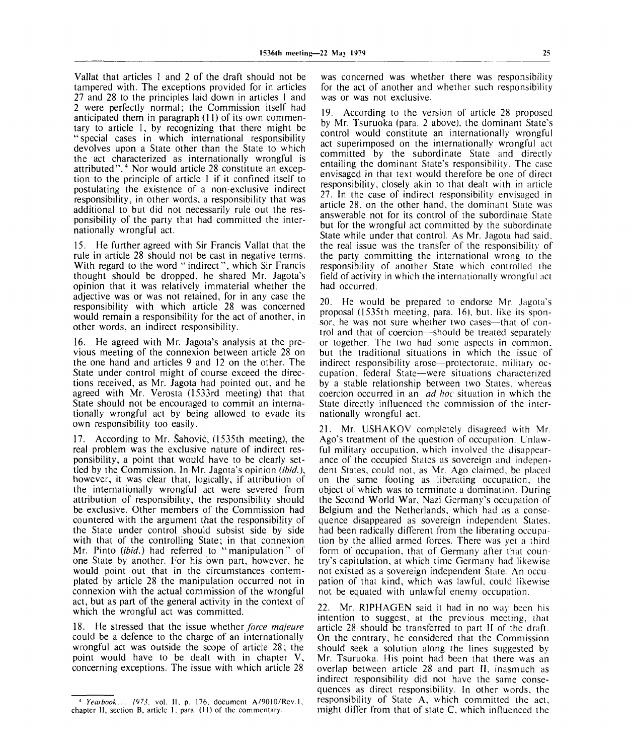Vallat that articles 1 and 2 of the draft should not be tampered with. The exceptions provided for in articles 27 and 28 to the principles laid down in articles 1 and 2 were perfectly normal; the Commission itself had anticipated them in paragraph (11) of its own commentary to article 1, by recognizing that there might be "special cases in which international responsibility devolves upon a State other than the State to which the act characterized as internationally wrongful is attributed".<sup>4</sup> Nor would article 28 constitute an exception to the principle of article 1 if it confined itself to postulating the existence of a non-exclusive indirect responsibility, in other words, a responsibility that was additional to but did not necessarily rule out the responsibility of the party that had committed the internationally wrongful act.

15. He further agreed with Sir Francis Vallat that the rule in article 28 should not be cast in negative terms. With regard to the word "indirect", which Sir Francis thought should be dropped, he shared Mr. Jagota's opinion that it was relatively immaterial whether the adjective was or was not retained, for in any case the responsibility with which article 28 was concerned would remain a responsibility for the act of another, in other words, an indirect responsibility.

16. He agreed with Mr. Jagota's analysis at the previous meeting of the connexion between article 28 on the one hand and articles 9 and 12 on the other. The State under control might of course exceed the directions received, as Mr. Jagota had pointed out, and he agreed with Mr. Verosta (1533rd meeting) that that State should not be encouraged to commit an internationally wrongful act by being allowed to evade its own responsibility too easily.

17. According to Mr. Sahovic, (1535th meeting), the real problem was the exclusive nature of indirect responsibility, a point that would have to be clearly settled by the Commission. In Mr. Jagota's opinion *(ibid.),* however, it was clear that, logically, if attribution of the internationally wrongful act were severed from attribution of responsibility, the responsibility should be exclusive. Other members of the Commission had countered with the argument that the responsibility of the State under control should subsist side by side with that of the controlling State; in that connexion Mr. Pinto (ibid.) had referred to "manipulation" of one State by another. For his own part, however, he would point out that in the circumstances contemplated by article 28 the manipulation occurred not in connexion with the actual commission of the wrongful act, but as part of the general activity in the context of which the wrongful act was committed.

18. He stressed that the issue whether *force majeure* could be a defence to the charge of an internationally wrongful act was outside the scope of article 28; the point would have to be dealt with in chapter V, concerning exceptions. The issue with which article 28 was concerned was whether there was responsibility for the act of another and whether such responsibility was or was not exclusive.

19. According to the version of article 28 proposed by Mr. Tsuruoka (para. 2 above), the dominant State's control would constitute an internationally wrongful act superimposed on the internationally wrongful act committed by the subordinate State and directly entailing the dominant State's responsibility. The case envisaged in that text would therefore be one of direct responsibility, closely akin to that dealt with in article 27. In the case of indirect responsibility envisaged in article 28, on the other hand, the dominant State was answerable not for its control of the subordinate State but for the wrongful act committed by the subordinate State while under that control. As Mr. Jagota had said, the real issue was the transfer of the responsibility of the party committing the international wrong to the responsibility of another State which controlled the field of activity in which the internationally wrongful act had occurred.

20. He would be prepared to endorse Mr. Jagota's proposal (1535th meeting, para. 16), but, like its sponsor, he was not sure whether two cases—that of control and that of coercion—should be treated separately or together. The two had some aspects in common, but the traditional situations in which the issue of indirect responsibility arose—protectorate, military occupation, federal State—were situations characterized by a stable relationship between two States, whereas coercion occurred in an *ad hoc* situation in which the State directly influenced the commission of the internationally wrongful act.

21. Mr. USHAKOV completely disagreed with Mr. Ago's treatment of the question of occupation. Unlawful military occupation, which involved the disappearance of the occupied States as sovereign and independent States, could not, as Mr. Ago claimed, be placed on the same footing as liberating occupation, the object of which was to terminate a domination. During the Second World War, Nazi Germany's occupation of Belgium and the Netherlands, which had as a consequence disappeared as sovereign independent States, had been radically different from the liberating occupation by the allied armed forces. There was yet a third form of occupation, that of Germany after that country's capitulation, at which time Germany had likewise not existed as a sovereign independent State. An occupation of that kind, which was lawful, could likewise not be equated with unlawful enemy occupation.

22. Mr. RIPHAGEN said it had in no way been his intention to suggest, at the previous meeting, that article 28 should be transferred to part II of the draft. On the contrary, he considered that the Commission should seek a solution along the lines suggested by Mr. Tsuruoka. His point had been that there was an overlap between article 28 and part II, inasmuch as indirect responsibility did not have the same consequences as direct responsibility. In other words, the responsibility of State A, which committed the act, might differ from that of state C, which influenced the

<sup>4</sup>  *Yearbook... 1973.* vol. II, p. 176, document A/9010/Rev.l , chapter II, section B, article 1. para. (11) of the commentary.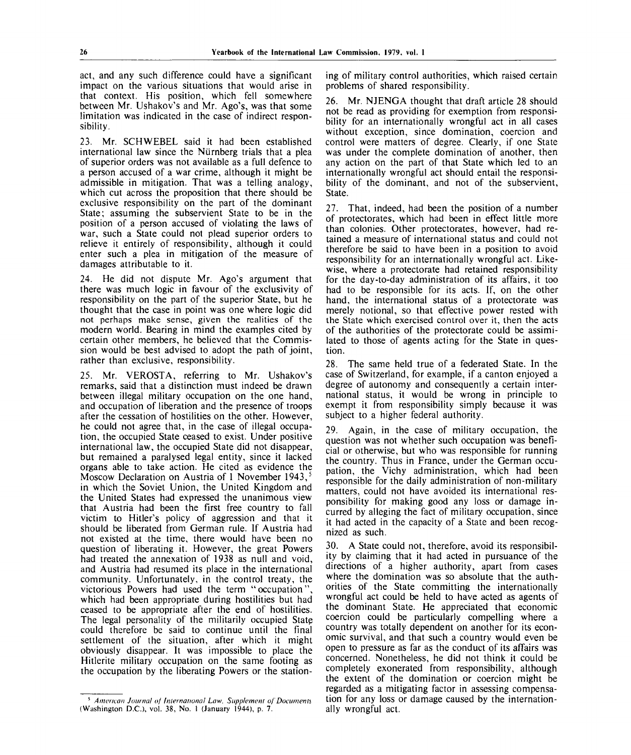act, and any such difference could have a significant impact on the various situations that would arise in that context. His position, which fell somewhere between Mr. Ushakov's and Mr. Ago's, was that some limitation was indicated in the case of indirect responsibility.

23. Mr. SCHWEBEL said it had been established international law since the Nurnberg trials that a plea of superior orders was not available as a full defence to a person accused of a war crime, although it might be admissible in mitigation. That was a telling analogy, which cut across the proposition that there should be exclusive responsibility on the part of the dominant State; assuming the subservient State to be in the position of a person accused of violating the laws of war, such a State could not plead superior orders to relieve it entirely of responsibility, although it could enter such a plea in mitigation of the measure of damages attributable to it.

24. He did not dispute Mr. Ago's argument that there was much logic in favour of the exclusivity of responsibility on the part of the superior State, but he thought that the case in point was one where logic did not perhaps make sense, given the realities of the modern world. Bearing in mind the examples cited by certain other members, he believed that the Commission would be best advised to adopt the path of joint, rather than exclusive, responsibility.

25. Mr. VEROSTA, referring to Mr. Ushakov's remarks, said that a distinction must indeed be drawn between illegal military occupation on the one hand, and occupation of liberation and the presence of troops after the cessation of hostilities on the other. However, he could not agree that, in the case of illegal occupation, the occupied State ceased to exist. Under positive international law, the occupied State did not disappear, but remained a paralysed legal entity, since it lacked organs able to take action. He cited as evidence the Moscow Declaration on Austria of 1 November 1943,<sup>5</sup> in which the Soviet Union, the United Kingdom and the United States had expressed the unanimous view that Austria had been the first free country to fall victim to Hitler's policy of aggression and that it should be liberated from German rule. If Austria had not existed at the time, there would have been no question of liberating it. However, the great Powers had treated the annexation of 1938 as null and void, and Austria had resumed its place in the international community. Unfortunately, in the control treaty, the victorious Powers had used the term "occupation", which had been appropriate during hostilities but had ceased to be appropriate after the end of hostilities. The legal personality of the militarily occupied State could therefore be said to continue until the final settlement of the situation, after which it might obviously disappear. It was impossible to place the Hitlerite military occupation on the same footing as the occupation by the liberating Powers or the stationing of military control authorities, which raised certain problems of shared responsibility.

26. Mr. NJENGA thought that draft article 28 should not be read as providing for exemption from responsibility for an internationally wrongful act in all cases without exception, since domination, coercion and control were matters of degree. Clearly, if one State was under the complete domination of another, then any action on the part of that State which led to an internationally wrongful act should entail the responsibility of the dominant, and not of the subservient, State.

27. That, indeed, had been the position of a number of protectorates, which had been in effect little more than colonies. Other protectorates, however, had retained a measure of international status and could not therefore be said to have been in a position to avoid responsibility for an internationally wrongful act. Likewise, where a protectorate had retained responsibility for the day-to-day administration of its affairs, it too had to be responsible for its acts. If, on the other hand, the international status of a protectorate was merely notional, so that effective power rested with the State which exercised control over it, then the acts of the authorities of the protectorate could be assimilated to those of agents acting for the State in question.

28. The same held true of a federated State. In the case of Switzerland, for example, if a canton enjoyed a degree of autonomy and consequently a certain international status, it would be wrong in principle to exempt it from responsibility simply because it was subject to a higher federal authority.

29. Again, in the case of military occupation, the question was not whether such occupation was beneficial or otherwise, but who was responsible for running the country. Thus in France, under the German occupation, the Vichy administration, which had been responsible for the daily administration of non-military matters, could not have avoided its international responsibility for making good any loss or damage incurred by alleging the fact of military occupation, since it had acted in the capacity of a State and been recognized as such.

30. A State could not, therefore, avoid its responsibility by claiming that it had acted in pursuance of the directions of a higher authority, apart from cases where the domination was so absolute that the authorities of the State committing the internationally wrongful act could be held to have acted as agents of the dominant State. He appreciated that economic coercion could be particularly compelling where a country was totally dependent on another for its economic survival, and that such a country would even be open to pressure as far as the conduct of its affairs was concerned. Nonetheless, he did not think it could be completely exonerated from responsibility, although the extent of the domination or coercion might be regarded as a mitigating factor in assessing compensation for any loss or damage caused by the internationally wrongful act.

<sup>5</sup>  *American Journal of International Law, Supplement of Documents* (Washington D.C.), vol. 38, No. 1 (January 1944), p. 7.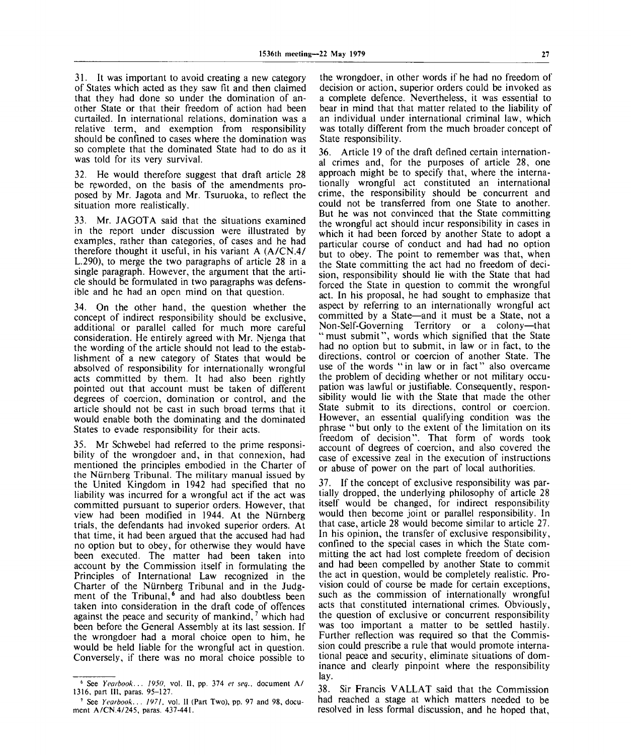31. It was important to avoid creating a new category of States which acted as they saw fit and then claimed that they had done so under the domination of another State or that their freedom of action had been curtailed. In international relations, domination was a relative term, and exemption from responsibility should be confined to cases where the domination was so complete that the dominated State had to do as it was told for its very survival.

32. He would therefore suggest that draft article 28 be reworded, on the basis of the amendments proposed by Mr. Jagota and Mr. Tsuruoka, to reflect the situation more realistically.

33. Mr. JAGOTA said that the situations examined in the report under discussion were illustrated by examples, rather than categories, of cases and he had therefore thought it useful, in his variant A (A/CN.4/ L.290), to merge the two paragraphs of article 28 in a single paragraph. However, the argument that the article should be formulated in two paragraphs was defensible and he had an open mind on that question.

34. On the other hand, the question whether the concept of indirect responsibility should be exclusive, additional or parallel called for much more careful consideration. He entirely agreed with Mr. Njenga that the wording of the article should not lead to the establishment of a new category of States that would be absolved of responsibility for internationally wrongful acts committed by them. It had also been rightly pointed out that account must be taken of different degrees of coercion, domination or control, and the article should not be cast in such broad terms that it would enable both the dominating and the dominated States to evade responsibility for their acts.

35. Mr Schwebel had referred to the prime responsibility of the wrongdoer and, in that connexion, had mentioned the principles embodied in the Charter of the Niirnberg Tribunal. The military manual issued by the United Kingdom in 1942 had specified that no liability was incurred for a wrongful act if the act was committed pursuant to superior orders. However, that view had been modified in 1944. At the Niirnberg trials, the defendants had invoked superior orders. At that time, it had been argued that the accused had had no option but to obey, for otherwise they would have been executed. The matter had been taken into account by the Commission itself in formulating the Principles of International Law recognized in the Charter of the Niirnberg Tribunal and in the Judgment of the Tribunal,<sup>6</sup> and had also doubtless been taken into consideration in the draft code of offences against the peace and security of mankind,<sup>7</sup> which had been before the General Assembly at its last session. If the wrongdoer had a moral choice open to him, he would be held liable for the wrongful act in question. Conversely, if there was no moral choice possible to

the wrongdoer, in other words if he had no freedom of decision or action, superior orders could be invoked as a complete defence. Nevertheless, it was essential to bear in mind that that matter related to the liability of an individual under international criminal law, which was totally different from the much broader concept of State responsibility.

36. Article 19 of the draft defined certain international crimes and, for the purposes of article 28, one approach might be to specify that, where the internationally wrongful act constituted an international crime, the responsibility should be concurrent and could not be transferred from one State to another. But he was not convinced that the State committing the wrongful act should incur responsibility in cases in which it had been forced by another State to adopt a particular course of conduct and had had no option but to obey. The point to remember was that, when the State committing the act had no freedom of decision, responsibility should lie with the State that had forced the State in question to commit the wrongful act. In his proposal, he had sought to emphasize that aspect by referring to an internationally wrongful act committed by a State—and it must be a State, not a Non-Self-Governing Territory or a colony—that "must submit", words which signified that the State had no option but to submit, in law or in fact, to the directions, control or coercion of another State. The use of the words "in law or in fact" also overcame the problem of deciding whether or not military occupation was lawful or justifiable. Consequently, responsibility would lie with the State that made the other State submit to its directions, control or coercion. However, an essential qualifying condition was the phrase "but only to the extent of the limitation on its freedom of decision". That form of words took account of degrees of coercion, and also covered the case of excessive zeal in the execution of instructions or abuse of power on the part of local authorities.

37. If the concept of exclusive responsibility was partially dropped, the underlying philosophy of article 28 itself would be changed, for indirect responsibility would then become joint or parallel responsibility. In that case, article 28 would become similar to article 27. In his opinion, the transfer of exclusive responsibility, confined to the special cases in which the State committing the act had lost complete freedom of decision and had been compelled by another State to commit the act in question, would be completely realistic. Provision could of course be made for certain exceptions, such as the commission of internationally wrongful acts that constituted international crimes. Obviously, the question of exclusive or concurrent responsibility was too important a matter to be settled hastily. Further reflection was required so that the Commission could prescribe a rule that would promote international peace and security, eliminate situations of dominance and clearly pinpoint where the responsibility lay.

38. Sir Francis VALLAT said that the Commission had reached a stage at which matters needed to be resolved in less formal discussion, and he hoped that,

<sup>6</sup>  **See** *Yearbook... 1950,* **vol. 11, pp. 374** *et seq.,* **document A/ 1316, part 111, paras. 95-127.**

<sup>7</sup>  **See** *Yearbook... 1971,* **vol. II (Part Two), pp. 97 and 98, document A/CN.4/245, paras. 437-441.**